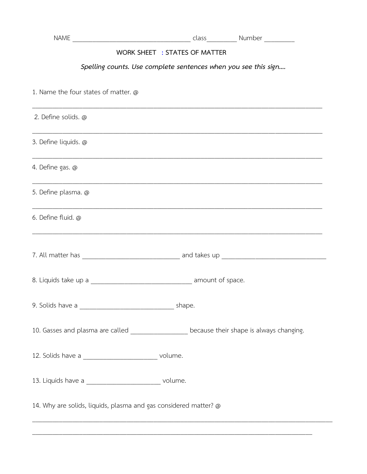## WORK SHEET : STATES OF MATTER

## Spelling counts. Use complete sentences when you see this sign....

| 1. Name the four states of matter. @                             |                                                                                             |
|------------------------------------------------------------------|---------------------------------------------------------------------------------------------|
| 2. Define solids. @                                              |                                                                                             |
| 3. Define liquids. @                                             |                                                                                             |
| 4. Define gas. @                                                 |                                                                                             |
| 5. Define plasma. @                                              |                                                                                             |
| 6. Define fluid. @                                               | ,我们也不能在这里的时候,我们也不能会在这里,我们也不能会在这里,我们也不能会在这里,我们也不能会在这里,我们也不能会不能会。""我们,我们也不能会不能会不能会            |
|                                                                  |                                                                                             |
|                                                                  |                                                                                             |
|                                                                  |                                                                                             |
|                                                                  | 10. Gasses and plasma are called __________________ because their shape is always changing. |
| 12. Solids have a ______________________________ volume.         |                                                                                             |
| 13. Liquids have a ___________________________ volume.           |                                                                                             |
| 14. Why are solids, liquids, plasma and gas considered matter? @ |                                                                                             |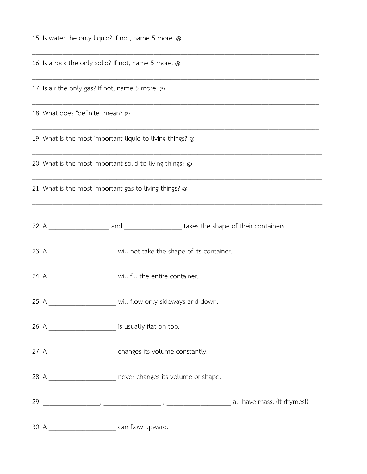15. Is water the only liquid? If not, name 5 more. @

16. Is a rock the only solid? If not, name 5 more. @

17. Is air the only gas? If not, name 5 more. @

18. What does "definite" mean? @

19. What is the most important liquid to living things? @

20. What is the most important solid to living things? @

21. What is the most important gas to living things? @

22. A containers and and takes the shape of their containers.

\_\_\_\_\_\_\_\_\_\_\_\_\_\_\_\_\_\_\_\_\_\_\_\_\_\_\_\_\_\_\_\_\_\_\_\_\_\_\_\_\_\_\_\_\_\_\_\_\_\_\_\_\_\_\_\_\_\_\_\_\_\_\_\_\_\_\_\_\_\_\_\_\_\_\_\_\_\_\_\_\_\_\_\_\_

\_\_\_\_\_\_\_\_\_\_\_\_\_\_\_\_\_\_\_\_\_\_\_\_\_\_\_\_\_\_\_\_\_\_\_\_\_\_\_\_\_\_\_\_\_\_\_\_\_\_\_\_\_\_\_\_\_\_\_\_\_\_\_\_\_\_\_\_\_\_\_\_\_\_\_\_\_\_\_\_\_\_\_\_\_

\_\_\_\_\_\_\_\_\_\_\_\_\_\_\_\_\_\_\_\_\_\_\_\_\_\_\_\_\_\_\_\_\_\_\_\_\_\_\_\_\_\_\_\_\_\_\_\_\_\_\_\_\_\_\_\_\_\_\_\_\_\_\_\_\_\_\_\_\_\_\_\_\_\_\_\_\_\_\_\_\_\_\_\_\_

\_\_\_\_\_\_\_\_\_\_\_\_\_\_\_\_\_\_\_\_\_\_\_\_\_\_\_\_\_\_\_\_\_\_\_\_\_\_\_\_\_\_\_\_\_\_\_\_\_\_\_\_\_\_\_\_\_\_\_\_\_\_\_\_\_\_\_\_\_\_\_\_\_\_\_\_\_\_\_\_\_\_\_\_\_

\_\_\_\_\_\_\_\_\_\_\_\_\_\_\_\_\_\_\_\_\_\_\_\_\_\_\_\_\_\_\_\_\_\_\_\_\_\_\_\_\_\_\_\_\_\_\_\_\_\_\_\_\_\_\_\_\_\_\_\_\_\_\_\_\_\_\_\_\_\_\_\_\_\_\_\_\_\_\_\_\_\_\_\_\_\_

\_\_\_\_\_\_\_\_\_\_\_\_\_\_\_\_\_\_\_\_\_\_\_\_\_\_\_\_\_\_\_\_\_\_\_\_\_\_\_\_\_\_\_\_\_\_\_\_\_\_\_\_\_\_\_\_\_\_\_\_\_\_\_\_\_\_\_\_\_\_\_\_\_\_\_\_\_\_\_\_\_\_\_\_\_\_

\_\_\_\_\_\_\_\_\_\_\_\_\_\_\_\_\_\_\_\_\_\_\_\_\_\_\_\_\_\_\_\_\_\_\_\_\_\_\_\_\_\_\_\_\_\_\_\_\_\_\_\_\_\_\_\_\_\_\_\_\_\_\_\_\_\_\_\_\_\_\_\_\_\_\_\_\_\_\_\_\_\_\_\_\_\_

23. A **will not take the shape of its container.** 

24. A  $\hspace{1.6cm}$  will fill the entire container.

25. A \_\_\_\_\_\_\_\_\_\_\_\_\_\_\_\_\_\_\_\_\_\_\_ will flow only sideways and down.

26. A \_\_\_\_\_\_\_\_\_\_\_\_\_\_\_\_\_\_\_\_\_\_\_\_\_\_ is usually flat on top.

27. A  $\blacksquare$  changes its volume constantly.

28. A **Late 28.** A **28.** A **28.** A

29. \_\_\_\_\_\_\_\_\_\_\_\_\_\_\_\_\_, \_\_\_\_\_\_\_\_\_\_\_\_\_\_\_\_\_ , \_\_\_\_\_\_\_\_\_\_\_\_\_\_\_\_\_\_\_ all have mass. (It rhymes!)

30. A \_\_\_\_\_\_\_\_\_\_\_\_\_\_\_\_\_\_\_\_ can flow upward.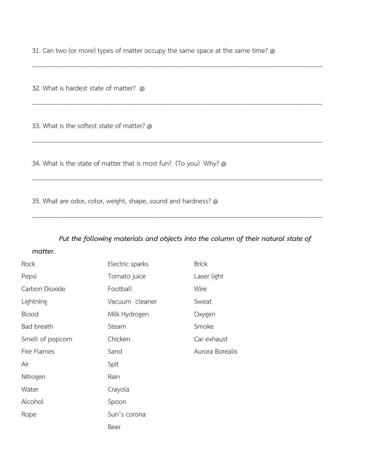31. Can two (or more) types of matter occupy the same space at the same time? @

\_\_\_\_\_\_\_\_\_\_\_\_\_\_\_\_\_\_\_\_\_\_\_\_\_\_\_\_\_\_\_\_\_\_\_\_\_\_\_\_\_\_\_\_\_\_\_\_\_\_\_\_\_\_\_\_\_\_\_\_\_\_\_\_\_\_\_\_\_\_\_\_\_\_\_\_\_\_\_\_\_\_\_\_\_\_

\_\_\_\_\_\_\_\_\_\_\_\_\_\_\_\_\_\_\_\_\_\_\_\_\_\_\_\_\_\_\_\_\_\_\_\_\_\_\_\_\_\_\_\_\_\_\_\_\_\_\_\_\_\_\_\_\_\_\_\_\_\_\_\_\_\_\_\_\_\_\_\_\_\_\_\_\_\_\_\_\_\_\_\_\_\_

\_\_\_\_\_\_\_\_\_\_\_\_\_\_\_\_\_\_\_\_\_\_\_\_\_\_\_\_\_\_\_\_\_\_\_\_\_\_\_\_\_\_\_\_\_\_\_\_\_\_\_\_\_\_\_\_\_\_\_\_\_\_\_\_\_\_\_\_\_\_\_\_\_\_\_\_\_\_\_\_\_\_\_\_\_\_

\_\_\_\_\_\_\_\_\_\_\_\_\_\_\_\_\_\_\_\_\_\_\_\_\_\_\_\_\_\_\_\_\_\_\_\_\_\_\_\_\_\_\_\_\_\_\_\_\_\_\_\_\_\_\_\_\_\_\_\_\_\_\_\_\_\_\_\_\_\_\_\_\_\_\_\_\_\_\_\_\_\_\_\_\_\_

\_\_\_\_\_\_\_\_\_\_\_\_\_\_\_\_\_\_\_\_\_\_\_\_\_\_\_\_\_\_\_\_\_\_\_\_\_\_\_\_\_\_\_\_\_\_\_\_\_\_\_\_\_\_\_\_\_\_\_\_\_\_\_\_\_\_\_\_\_\_\_\_\_\_\_\_\_\_\_\_\_\_\_\_\_\_

32. What is hardest state of matter? @

33. What is the softest state of matter? @

34. What is the state of matter that is most fun? (To you) Why? @

35. What are odor, color, weight, shape, sound and hardness? @

## *Put the following materials and objects into the column of their natural state of*

## *matter.*

| Rock             | Electric sparks | <b>Brick</b>    |
|------------------|-----------------|-----------------|
| Pepsi            | Tomato juice    | Laser light     |
| Carbon Dioxide   | Football        | Wire            |
| Lightning        | Vacuum cleaner  | Sweat           |
| Blood            | Milk Hydrogen   | Oxygen          |
| Bad breath       | Steam           | Smoke           |
| Smell of popcorn | Chicken         | Car exhaust     |
| Fire Flames      | Sand            | Aurora Borealis |
| Air              | Spit            |                 |
| Nitrogen         | Rain            |                 |
| Water            | Crayola         |                 |
| Alcohol          | Spoon           |                 |
| Rope             | Sun's corona    |                 |
|                  | Beer            |                 |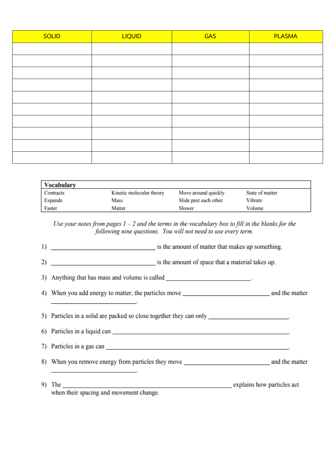| <b>SOLID</b> | <b>LIQUID</b> | <b>GAS</b> | <b>PLASMA</b> |
|--------------|---------------|------------|---------------|
|              |               |            |               |
|              |               |            |               |
|              |               |            |               |
|              |               |            |               |
|              |               |            |               |
|              |               |            |               |
|              |               |            |               |
|              |               |            |               |
|              |               |            |               |
|              |               |            |               |

| <b>Vocabulary</b> |                          |                       |                 |
|-------------------|--------------------------|-----------------------|-----------------|
| Contracts         | Kinetic molecular theory | Move around quickly   | State of matter |
| Expands           | Mass                     | Slide past each other | Vibrate         |
| Faster            | Matter                   | Slower                | Volume          |

Use your notes from pages  $1 - 2$  and the terms in the vocabulary box to fill in the blanks for the following nine questions. You will not need to use every term.

1) is the amount of matter that makes up something.

2) is the amount of space that a material takes up.

3) Anything that has mass and volume is called \_\_\_\_\_\_\_\_\_\_\_\_\_\_\_\_\_\_\_\_\_\_\_\_\_\_\_\_\_\_\_\_\_\_

the control of the control of the control of

5) Particles in a solid are packed so close together they can only \_\_\_\_\_\_\_\_\_\_\_\_\_\_\_\_\_\_\_\_\_\_\_\_.

6) Particles in a liquid can service of the state of the state of the state of the state of the state of the state of the state of the state of the state of the state of the state of the state of the state of the state of 7) Particles in a gas can

8) When you remove energy from particles they move and the matter and the matter

9) The explains how particles act when their spacing and movement change.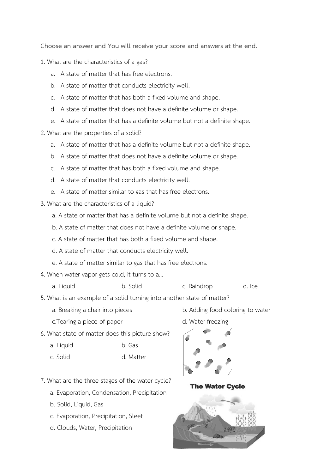**Choose an answer and You will receive your score and answers at the end.**

- 1. What are the characteristics of a gas?
	- a. A state of matter that has free electrons.
	- b. A state of matter that conducts electricity well.
	- c. A state of matter that has both a fixed volume and shape.
	- d. A state of matter that does not have a definite volume or shape.
	- e. A state of matter that has a definite volume but not a definite shape.
- 2. What are the properties of a solid?
	- a. A state of matter that has a definite volume but not a definite shape.
	- b. A state of matter that does not have a definite volume or shape.
	- c. A state of matter that has both a fixed volume and shape.
	- d. A state of matter that conducts electricity well.
	- e. A state of matter similar to gas that has free electrons.
- 3. What are the characteristics of a liquid?
	- a. A state of matter that has a definite volume but not a definite shape.
	- b. A state of matter that does not have a definite volume or shape.
	- c. A state of matter that has both a fixed volume and shape.
	- d. A state of matter that conducts electricity well.
	- e. A state of matter similar to gas that has free electrons.
- 4. When water vapor gets cold, it turns to a...
	-
	- a. Liquid b. Solid c. Raindrop d. Ice

- 5. What is an example of a solid turning into another state of matter?
	- a. Breaking a chair into pieces b. Adding food coloring to water
	- c.Tearing a piece of paper d. Water freezing
- 6. What state of matter does this picture show?
	- a. Liquid b. Gas
	- c. Solid d. Matter
- 7. What are the three stages of the water cycle?
	- a. Evaporation, Condensation, Precipitation
	- b. Solid, Liquid, Gas
	- c. Evaporation, Precipitation, Sleet
	- d. Clouds, Water, Precipitation



**The Water Cycle**